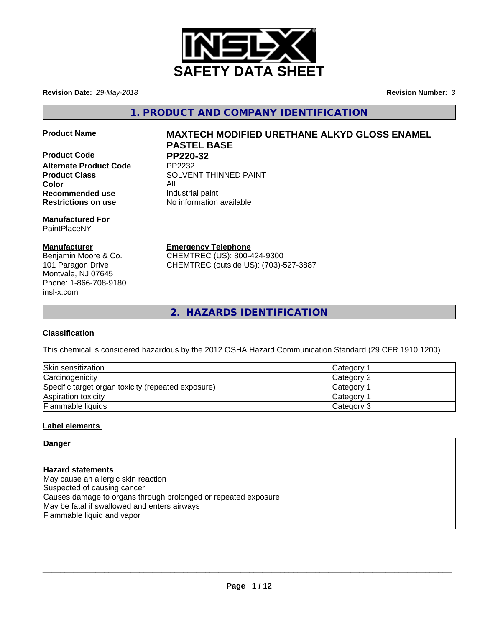

**Revision Date:** *29-May-2018* **Revision Number:** *3*

**1. PRODUCT AND COMPANY IDENTIFICATION**

**Product Code PP220-32**<br>Alternate Product Code PP2232 **Alternate Product Code** 

**Color** All **Recommended use Industrial paint Restrictions on use** No information available

**Manufactured For** PaintPlaceNY

# **Manufacturer**

Benjamin Moore & Co. 101 Paragon Drive Montvale, NJ 07645 Phone: 1-866-708-9180 insl-x.com

# **Product Name MAXTECH MODIFIED URETHANE ALKYD GLOSS ENAMEL PASTEL BASE**

**Product Class SOLVENT THINNED PAINT** 

**Emergency Telephone**

CHEMTREC (US): 800-424-9300 CHEMTREC (outside US): (703)-527-3887

**2. HAZARDS IDENTIFICATION**

# **Classification**

This chemical is considered hazardous by the 2012 OSHA Hazard Communication Standard (29 CFR 1910.1200)

| Skin sensitization                                 | Category        |
|----------------------------------------------------|-----------------|
| Carcinogenicity                                    | Category 2      |
| Specific target organ toxicity (repeated exposure) | <b>Category</b> |
| Aspiration toxicity                                | <b>Category</b> |
| Flammable liquids                                  | Category 3      |

# **Label elements**

**Danger**

**Hazard statements** May cause an allergic skin reaction Suspected of causing cancer Causes damage to organs through prolonged or repeated exposure May be fatal if swallowed and enters airways Flammable liquid and vapor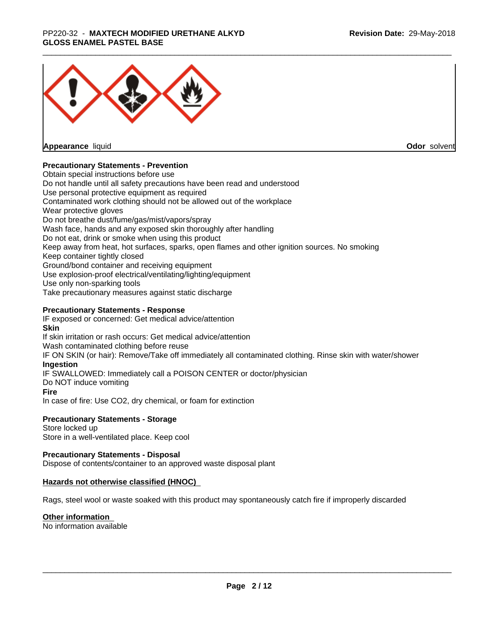## \_\_\_\_\_\_\_\_\_\_\_\_\_\_\_\_\_\_\_\_\_\_\_\_\_\_\_\_\_\_\_\_\_\_\_\_\_\_\_\_\_\_\_\_\_\_\_\_\_\_\_\_\_\_\_\_\_\_\_\_\_\_\_\_\_\_\_\_\_\_\_\_\_\_\_\_\_\_\_\_\_\_\_\_\_\_\_\_\_\_\_\_\_ PP220-32 - **MAXTECH MODIFIED URETHANE ALKYD GLOSS ENAMEL PASTEL BASE**



**Appearance** liquid

**Odor** solvent

## **Precautionary Statements - Prevention**

Obtain special instructions before use Do not handle until all safety precautions have been read and understood Use personal protective equipment as required Contaminated work clothing should not be allowed out of the workplace Wear protective gloves Do not breathe dust/fume/gas/mist/vapors/spray Wash face, hands and any exposed skin thoroughly after handling Do not eat, drink or smoke when using this product Keep away from heat, hot surfaces, sparks, open flames and other ignition sources. No smoking Keep container tightly closed Ground/bond container and receiving equipment Use explosion-proof electrical/ventilating/lighting/equipment Use only non-sparking tools Take precautionary measures against static discharge

## **Precautionary Statements - Response**

IF exposed or concerned: Get medical advice/attention **Skin** If skin irritation or rash occurs: Get medical advice/attention Wash contaminated clothing before reuse IF ON SKIN (or hair): Remove/Take off immediately all contaminated clothing. Rinse skin with water/shower **Ingestion** IF SWALLOWED: Immediately call a POISON CENTER or doctor/physician Do NOT induce vomiting **Fire** In case of fire: Use CO2, dry chemical, or foam for extinction

## **Precautionary Statements - Storage**

Store locked up Store in a well-ventilated place. Keep cool

## **Precautionary Statements - Disposal**

Dispose of contents/container to an approved waste disposal plant

## **Hazards not otherwise classified (HNOC)**

Rags, steel wool or waste soaked with this product may spontaneously catch fire if improperly discarded

## **Other information**

No information available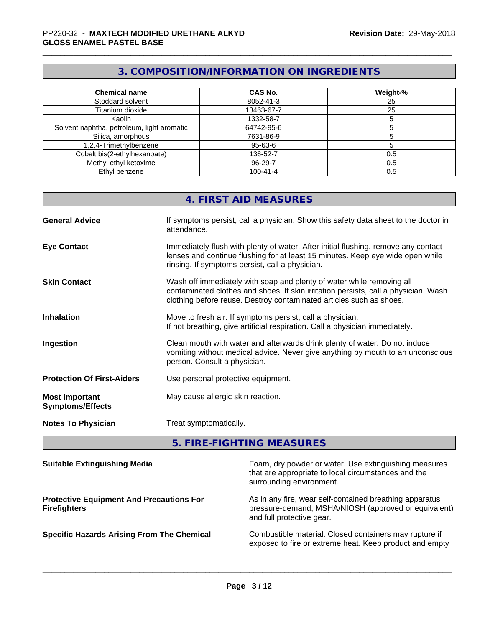# **3. COMPOSITION/INFORMATION ON INGREDIENTS**

| <b>Chemical name</b>                       | <b>CAS No.</b> | Weight-% |
|--------------------------------------------|----------------|----------|
| Stoddard solvent                           | 8052-41-3      | 25       |
| Titanium dioxide                           | 13463-67-7     | 25       |
| Kaolin                                     | 1332-58-7      |          |
| Solvent naphtha, petroleum, light aromatic | 64742-95-6     |          |
| Silica, amorphous                          | 7631-86-9      |          |
| 1,2,4-Trimethylbenzene                     | 95-63-6        |          |
| Cobalt bis(2-ethylhexanoate)               | 136-52-7       | 0.5      |
| Methyl ethyl ketoxime                      | 96-29-7        | 0.5      |
| Ethyl benzene                              | $100 - 41 - 4$ | 0.5      |

|                                                  | 4. FIRST AID MEASURES                                                                                                                                                                                                               |
|--------------------------------------------------|-------------------------------------------------------------------------------------------------------------------------------------------------------------------------------------------------------------------------------------|
| <b>General Advice</b>                            | If symptoms persist, call a physician. Show this safety data sheet to the doctor in<br>attendance.                                                                                                                                  |
| <b>Eye Contact</b>                               | Immediately flush with plenty of water. After initial flushing, remove any contact<br>lenses and continue flushing for at least 15 minutes. Keep eye wide open while<br>rinsing. If symptoms persist, call a physician.             |
| <b>Skin Contact</b>                              | Wash off immediately with soap and plenty of water while removing all<br>contaminated clothes and shoes. If skin irritation persists, call a physician. Wash<br>clothing before reuse. Destroy contaminated articles such as shoes. |
| <b>Inhalation</b>                                | Move to fresh air. If symptoms persist, call a physician.<br>If not breathing, give artificial respiration. Call a physician immediately.                                                                                           |
| Ingestion                                        | Clean mouth with water and afterwards drink plenty of water. Do not induce<br>vomiting without medical advice. Never give anything by mouth to an unconscious<br>person. Consult a physician.                                       |
| <b>Protection Of First-Aiders</b>                | Use personal protective equipment.                                                                                                                                                                                                  |
| <b>Most Important</b><br><b>Symptoms/Effects</b> | May cause allergic skin reaction.                                                                                                                                                                                                   |
| <b>Notes To Physician</b>                        | Treat symptomatically.                                                                                                                                                                                                              |

# **5. FIRE-FIGHTING MEASURES**

| <b>Suitable Extinguishing Media</b>                                    | Foam, dry powder or water. Use extinguishing measures<br>that are appropriate to local circumstances and the<br>surrounding environment.     |
|------------------------------------------------------------------------|----------------------------------------------------------------------------------------------------------------------------------------------|
| <b>Protective Equipment And Precautions For</b><br><b>Firefighters</b> | As in any fire, wear self-contained breathing apparatus<br>pressure-demand, MSHA/NIOSH (approved or equivalent)<br>and full protective gear. |
| <b>Specific Hazards Arising From The Chemical</b>                      | Combustible material. Closed containers may rupture if<br>exposed to fire or extreme heat. Keep product and empty                            |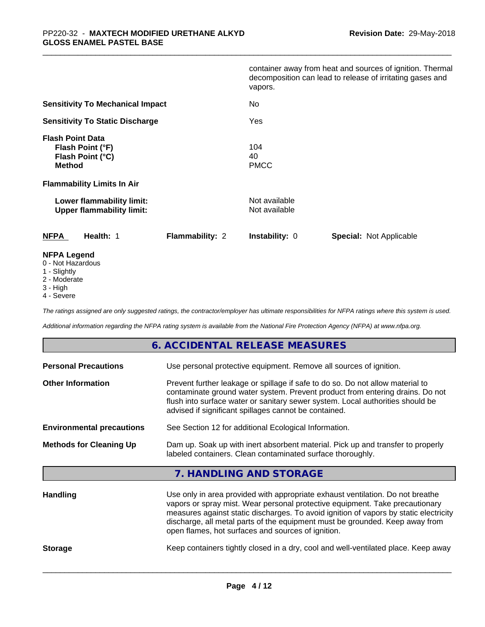|                                                                                  | container away from heat and sources of ignition. Thermal<br>decomposition can lead to release of irritating gases and<br>vapors. |
|----------------------------------------------------------------------------------|-----------------------------------------------------------------------------------------------------------------------------------|
| <b>Sensitivity To Mechanical Impact</b>                                          | No                                                                                                                                |
| <b>Sensitivity To Static Discharge</b>                                           | Yes                                                                                                                               |
| <b>Flash Point Data</b><br>Flash Point (°F)<br>Flash Point (°C)<br><b>Method</b> | 104<br>40<br><b>PMCC</b>                                                                                                          |
| <b>Flammability Limits In Air</b>                                                |                                                                                                                                   |
| Lower flammability limit:<br><b>Upper flammability limit:</b>                    | Not available<br>Not available                                                                                                    |
| <b>NFPA</b><br>Health: 1<br><b>Flammability: 2</b>                               | <b>Instability: 0</b><br><b>Special: Not Applicable</b>                                                                           |
| <b>NFPA Legend</b><br>0 - Not Hazardous                                          |                                                                                                                                   |

- 1 Slightly
- 2 Moderate
- 3 High
- 4 Severe

*The ratings assigned are only suggested ratings, the contractor/employer has ultimate responsibilities for NFPA ratings where this system is used.*

*Additional information regarding the NFPA rating system is available from the National Fire Protection Agency (NFPA) at www.nfpa.org.*

## **6. ACCIDENTAL RELEASE MEASURES**

| <b>Personal Precautions</b>      | Use personal protective equipment. Remove all sources of ignition.                                                                                                                                                                                                                                                                      |  |  |
|----------------------------------|-----------------------------------------------------------------------------------------------------------------------------------------------------------------------------------------------------------------------------------------------------------------------------------------------------------------------------------------|--|--|
| <b>Other Information</b>         | Prevent further leakage or spillage if safe to do so. Do not allow material to<br>contaminate ground water system. Prevent product from entering drains. Do not<br>flush into surface water or sanitary sewer system. Local authorities should be<br>advised if significant spillages cannot be contained.                              |  |  |
| <b>Environmental precautions</b> | See Section 12 for additional Ecological Information.                                                                                                                                                                                                                                                                                   |  |  |
| <b>Methods for Cleaning Up</b>   | Dam up. Soak up with inert absorbent material. Pick up and transfer to properly<br>labeled containers. Clean contaminated surface thoroughly.                                                                                                                                                                                           |  |  |
|                                  | 7. HANDLING AND STORAGE                                                                                                                                                                                                                                                                                                                 |  |  |
| <b>Handling</b>                  | Use only in area provided with appropriate exhaust ventilation. Do not breathe<br>vapors or spray mist. Wear personal protective equipment. Take precautionary<br>measures against static discharges. To avoid ignition of vapors by static electricity<br>discharge, all metal parts of the equipment must be grounded. Keep away from |  |  |

**Storage** Keep containers tightly closed in a dry, cool and well-ventilated place. Keep away

 $\overline{\phantom{a}}$  ,  $\overline{\phantom{a}}$  ,  $\overline{\phantom{a}}$  ,  $\overline{\phantom{a}}$  ,  $\overline{\phantom{a}}$  ,  $\overline{\phantom{a}}$  ,  $\overline{\phantom{a}}$  ,  $\overline{\phantom{a}}$  ,  $\overline{\phantom{a}}$  ,  $\overline{\phantom{a}}$  ,  $\overline{\phantom{a}}$  ,  $\overline{\phantom{a}}$  ,  $\overline{\phantom{a}}$  ,  $\overline{\phantom{a}}$  ,  $\overline{\phantom{a}}$  ,  $\overline{\phantom{a}}$ 

open flames, hot surfaces and sources of ignition.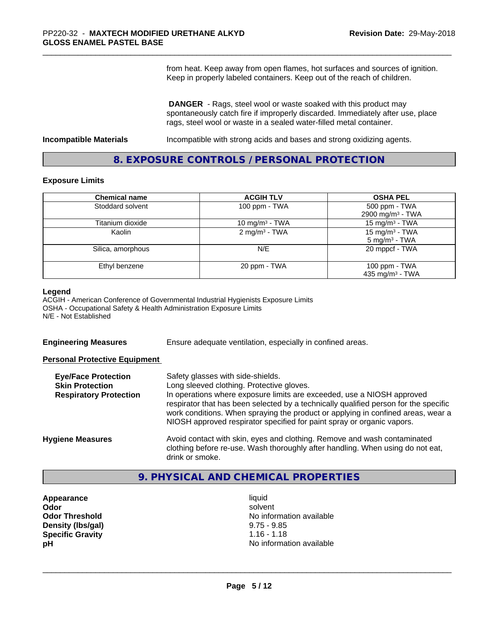from heat. Keep away from open flames, hot surfaces and sources of ignition. Keep in properly labeled containers. Keep out of the reach of children.

 **DANGER** - Rags, steel wool or waste soaked with this product may spontaneously catch fire if improperly discarded. Immediately after use, place rags, steel wool or waste in a sealed water-filled metal container.

**Incompatible Materials Incompatible with strong acids and bases and strong oxidizing agents.** 

# **8. EXPOSURE CONTROLS / PERSONAL PROTECTION**

#### **Exposure Limits**

| <b>Chemical name</b> | <b>ACGIH TLV</b>           | <b>OSHA PEL</b>              |
|----------------------|----------------------------|------------------------------|
| Stoddard solvent     | 100 ppm - TWA              | 500 ppm - TWA                |
|                      |                            | 2900 mg/m <sup>3</sup> - TWA |
| Titanium dioxide     | 10 mg/m <sup>3</sup> - TWA | 15 mg/m <sup>3</sup> - TWA   |
| Kaolin               | 2 mg/m <sup>3</sup> - TWA  | 15 mg/m <sup>3</sup> - TWA   |
|                      |                            | $5 \text{ mg/m}^3$ - TWA     |
| Silica, amorphous    | N/E                        | 20 mppcf - TWA               |
| Ethyl benzene        | 20 ppm - TWA               | 100 ppm - TWA                |
|                      |                            | 435 mg/m <sup>3</sup> - TWA  |

#### **Legend**

ACGIH - American Conference of Governmental Industrial Hygienists Exposure Limits OSHA - Occupational Safety & Health Administration Exposure Limits N/E - Not Established

**Engineering Measures** Ensure adequate ventilation, especially in confined areas.

## **Personal Protective Equipment**

| <b>Eye/Face Protection</b><br><b>Skin Protection</b><br><b>Respiratory Protection</b> | Safety glasses with side-shields.<br>Long sleeved clothing. Protective gloves.<br>In operations where exposure limits are exceeded, use a NIOSH approved<br>respirator that has been selected by a technically qualified person for the specific<br>work conditions. When spraying the product or applying in confined areas, wear a<br>NIOSH approved respirator specified for paint spray or organic vapors. |
|---------------------------------------------------------------------------------------|----------------------------------------------------------------------------------------------------------------------------------------------------------------------------------------------------------------------------------------------------------------------------------------------------------------------------------------------------------------------------------------------------------------|
| <b>Hygiene Measures</b>                                                               | Avoid contact with skin, eyes and clothing. Remove and wash contaminated<br>clothing before re-use. Wash thoroughly after handling. When using do not eat,<br>drink or smoke.                                                                                                                                                                                                                                  |

# **9. PHYSICAL AND CHEMICAL PROPERTIES**

- **Appearance** liquid **Density (lbs/gal)** 9.75 - 9.85<br> **Specific Gravity** 1.16 - 1.18 **Specific Gravity**
- **Odor** solvent **Odor Threshold No information available No information available pH pH**  $\blacksquare$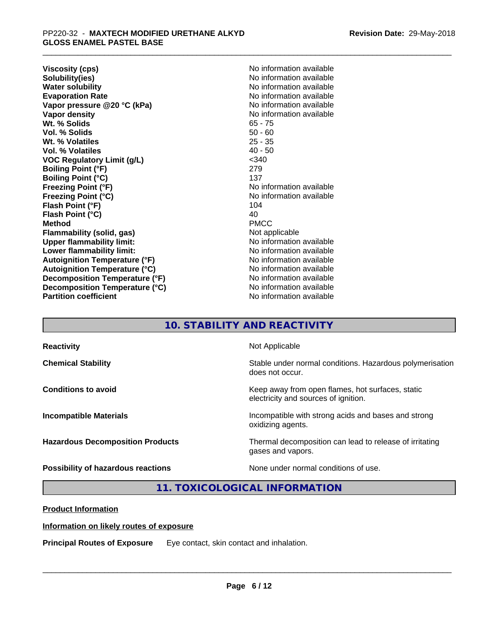**Viscosity (cps)** <br> **Viscosity (cps)** <br> **Solubility(ies)** <br> **Solubility(ies)** <br> **No** information available **Solubility(ies)**<br> **No information available**<br> **Water solubility**<br> **Water solubility Evaporation Rate No information available No information available Vapor pressure @20 °C (kPa)** No information available **Vapor density Vapor** density **Wt. % Solids** 65 - 75 **Vol. % Solids** 50 - 60 Wt. % Volatiles **Vol. % Volatiles** 40 - 50 **VOC Regulatory Limit (g/L)** <340 **Boiling Point (°F)** 279 **Boiling Point (°C)** 137<br> **Freezing Point (°F)** No i **Freezing Point (°C)** No information available **Flash Point (°F)** 104<br> **Flash Point (°C)** 104<br>
104 **Flash Point (°C) Method** PMCC **Flammability (solid, gas)** Not applicable **Upper flammability limit:** No information available **Lower flammability limit:**  $\qquad \qquad \qquad$  No information available **Autoignition Temperature (°F)** No information available **Autoignition Temperature (°C)** No information available **Decomposition Temperature (°F)** No information available **Decomposition Temperature (°C)**<br> **Partition coefficient**<br> **Partition coefficient**<br> **No** information available

**No information available No information available No information available** 

# **10. STABILITY AND REACTIVITY**

| <b>Reactivity</b>                       | Not Applicable                                                                           |
|-----------------------------------------|------------------------------------------------------------------------------------------|
| <b>Chemical Stability</b>               | Stable under normal conditions. Hazardous polymerisation<br>does not occur.              |
| <b>Conditions to avoid</b>              | Keep away from open flames, hot surfaces, static<br>electricity and sources of ignition. |
| <b>Incompatible Materials</b>           | Incompatible with strong acids and bases and strong<br>oxidizing agents.                 |
| <b>Hazardous Decomposition Products</b> | Thermal decomposition can lead to release of irritating<br>gases and vapors.             |
| Possibility of hazardous reactions      | None under normal conditions of use.                                                     |

# **11. TOXICOLOGICAL INFORMATION**

**Product Information**

## **Information on likely routes of exposure**

**Principal Routes of Exposure** Eye contact, skin contact and inhalation.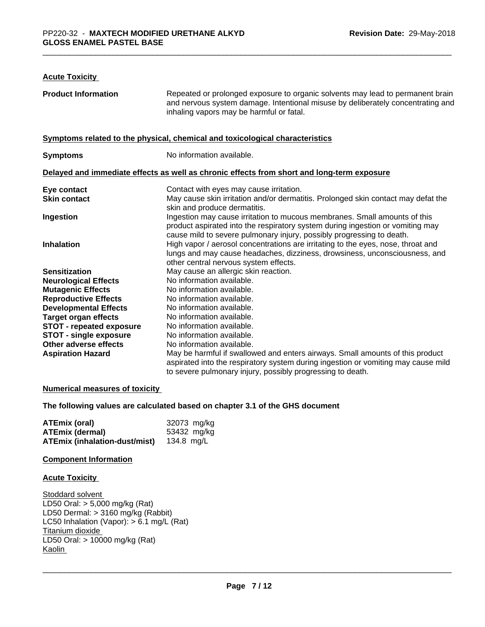# **Acute Toxicity**

| <b>Product Information</b>      | Repeated or prolonged exposure to organic solvents may lead to permanent brain<br>and nervous system damage. Intentional misuse by deliberately concentrating and<br>inhaling vapors may be harmful or fatal.                        |
|---------------------------------|--------------------------------------------------------------------------------------------------------------------------------------------------------------------------------------------------------------------------------------|
|                                 | Symptoms related to the physical, chemical and toxicological characteristics                                                                                                                                                         |
| <b>Symptoms</b>                 | No information available.                                                                                                                                                                                                            |
|                                 | Delayed and immediate effects as well as chronic effects from short and long-term exposure                                                                                                                                           |
| Eye contact                     | Contact with eyes may cause irritation.                                                                                                                                                                                              |
| <b>Skin contact</b>             | May cause skin irritation and/or dermatitis. Prolonged skin contact may defat the<br>skin and produce dermatitis.                                                                                                                    |
| Ingestion                       | Ingestion may cause irritation to mucous membranes. Small amounts of this<br>product aspirated into the respiratory system during ingestion or vomiting may<br>cause mild to severe pulmonary injury, possibly progressing to death. |
| <b>Inhalation</b>               | High vapor / aerosol concentrations are irritating to the eyes, nose, throat and<br>lungs and may cause headaches, dizziness, drowsiness, unconsciousness, and<br>other central nervous system effects.                              |
| <b>Sensitization</b>            | May cause an allergic skin reaction.                                                                                                                                                                                                 |
| <b>Neurological Effects</b>     | No information available.                                                                                                                                                                                                            |
| <b>Mutagenic Effects</b>        | No information available.                                                                                                                                                                                                            |
| <b>Reproductive Effects</b>     | No information available.                                                                                                                                                                                                            |
| <b>Developmental Effects</b>    | No information available.                                                                                                                                                                                                            |
| <b>Target organ effects</b>     | No information available.                                                                                                                                                                                                            |
| <b>STOT - repeated exposure</b> | No information available.                                                                                                                                                                                                            |
| <b>STOT - single exposure</b>   | No information available.                                                                                                                                                                                                            |
| Other adverse effects           | No information available.                                                                                                                                                                                                            |
| <b>Aspiration Hazard</b>        | May be harmful if swallowed and enters airways. Small amounts of this product<br>aspirated into the respiratory system during ingestion or vomiting may cause mild                                                                   |
|                                 | to severe pulmonary injury, possibly progressing to death.                                                                                                                                                                           |

## **Numerical measures of toxicity**

**The following values are calculated based on chapter 3.1 of the GHS document**

| ATEmix (oral)                 | 32073 mg/kg |
|-------------------------------|-------------|
| <b>ATEmix (dermal)</b>        | 53432 mg/kg |
| ATEmix (inhalation-dust/mist) | 134.8 mg/L  |

## **Component Information**

#### **Acute Toxicity**

Stoddard solvent LD50 Oral: > 5,000 mg/kg (Rat) LD50 Dermal: > 3160 mg/kg (Rabbit) LC50 Inhalation (Vapor): > 6.1 mg/L (Rat) Titanium dioxide LD50 Oral: > 10000 mg/kg (Rat) Kaolin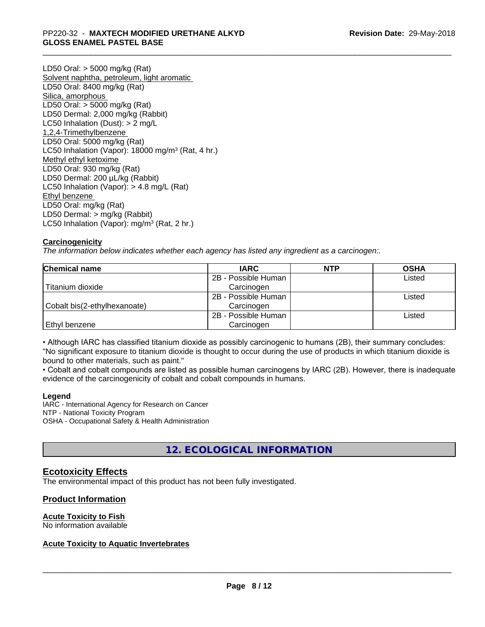LD50 Oral: > 5000 mg/kg (Rat) Solvent naphtha, petroleum, light aromatic LD50 Oral: 8400 mg/kg (Rat) Silica, amorphous LD50 Oral: > 5000 mg/kg (Rat) LD50 Dermal: 2,000 mg/kg (Rabbit) LC50 Inhalation (Dust): > 2 mg/L 1,2,4-Trimethylbenzene LD50 Oral: 5000 mg/kg (Rat) LC50 Inhalation (Vapor): 18000 mg/m<sup>3</sup> (Rat, 4 hr.) Methyl ethyl ketoxime LD50 Oral: 930 mg/kg (Rat) LD50 Dermal: 200 µL/kg (Rabbit) LC50 Inhalation (Vapor): > 4.8 mg/L (Rat) Ethyl benzene LD50 Oral: mg/kg (Rat) LD50 Dermal: > mg/kg (Rabbit) LC50 Inhalation (Vapor): mg/m<sup>3</sup> (Rat, 2 hr.)

# **Carcinogenicity**

*The information below indicateswhether each agency has listed any ingredient as a carcinogen:.*

| <b>Chemical name</b>         | <b>IARC</b>         | <b>NTP</b> | <b>OSHA</b> |  |
|------------------------------|---------------------|------------|-------------|--|
|                              | 2B - Possible Human |            | Listed      |  |
| Titanium dioxide             | Carcinogen          |            |             |  |
|                              | 2B - Possible Human |            | Listed      |  |
| Cobalt bis(2-ethylhexanoate) | Carcinogen          |            |             |  |
|                              | 2B - Possible Human |            | Listed      |  |
| Ethyl benzene                | Carcinogen          |            |             |  |

• Although IARC has classified titanium dioxide as possibly carcinogenic to humans (2B), their summary concludes: "No significant exposure to titanium dioxide is thought to occur during the use of products in which titanium dioxide is bound to other materials, such as paint."

• Cobalt and cobalt compounds are listed as possible human carcinogens by IARC (2B). However, there is inadequate evidence of the carcinogenicity of cobalt and cobalt compounds in humans.

## **Legend**

IARC - International Agency for Research on Cancer NTP - National Toxicity Program OSHA - Occupational Safety & Health Administration

# **12. ECOLOGICAL INFORMATION**

# **Ecotoxicity Effects**

The environmental impact of this product has not been fully investigated.

## **Product Information**

## **Acute Toxicity to Fish**

No information available

# **Acute Toxicity to Aquatic Invertebrates**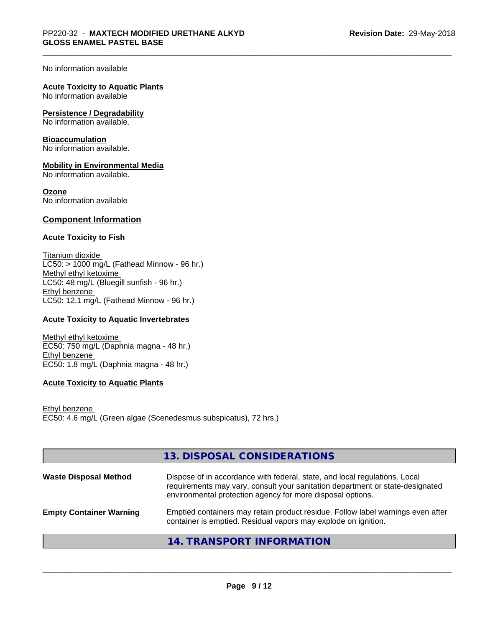No information available

## **Acute Toxicity to Aquatic Plants**

No information available

## **Persistence / Degradability**

No information available.

#### **Bioaccumulation**

No information available.

## **Mobility in Environmental Media**

No information available.

#### **Ozone**

No information available

## **Component Information**

## **Acute Toxicity to Fish**

Titanium dioxide  $LC50:$  > 1000 mg/L (Fathead Minnow - 96 hr.) Methyl ethyl ketoxime LC50: 48 mg/L (Bluegill sunfish - 96 hr.) Ethyl benzene LC50: 12.1 mg/L (Fathead Minnow - 96 hr.)

## **Acute Toxicity to Aquatic Invertebrates**

Methyl ethyl ketoxime EC50: 750 mg/L (Daphnia magna - 48 hr.) Ethyl benzene EC50: 1.8 mg/L (Daphnia magna - 48 hr.)

## **Acute Toxicity to Aquatic Plants**

Ethyl benzene EC50: 4.6 mg/L (Green algae (Scenedesmus subspicatus), 72 hrs.)

|                                | 13. DISPOSAL CONSIDERATIONS                                                                                                                                                                                               |
|--------------------------------|---------------------------------------------------------------------------------------------------------------------------------------------------------------------------------------------------------------------------|
| <b>Waste Disposal Method</b>   | Dispose of in accordance with federal, state, and local regulations. Local<br>requirements may vary, consult your sanitation department or state-designated<br>environmental protection agency for more disposal options. |
| <b>Empty Container Warning</b> | Emptied containers may retain product residue. Follow label warnings even after<br>container is emptied. Residual vapors may explode on ignition.                                                                         |
|                                | <b>14. TRANSPORT INFORMATION</b>                                                                                                                                                                                          |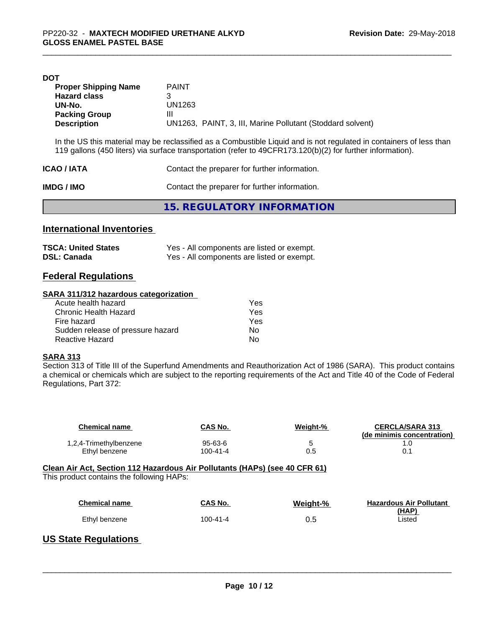| DOT                         |                                                                                                                     |
|-----------------------------|---------------------------------------------------------------------------------------------------------------------|
| <b>Proper Shipping Name</b> | <b>PAINT</b>                                                                                                        |
| <b>Hazard class</b>         | З                                                                                                                   |
| UN-No.                      | UN1263                                                                                                              |
| <b>Packing Group</b>        | Ш                                                                                                                   |
| <b>Description</b>          | UN1263, PAINT, 3, III, Marine Pollutant (Stoddard solvent)                                                          |
|                             | In the US this material may be reclassified as a Combustible Liquid and is not regulated in containers of less than |
|                             | 119 gallons (450 liters) via surface transportation (refer to 49CFR173.120(b)(2) for further information).          |

| <b>ICAO/IATA</b> | Contact the preparer for further information. |
|------------------|-----------------------------------------------|
| IMDG / IMO       | Contact the preparer for further information. |
|                  | 15. REGULATORY INFORMATION                    |

# **International Inventories**

| <b>TSCA: United States</b> | Yes - All components are listed or exempt. |
|----------------------------|--------------------------------------------|
| <b>DSL: Canada</b>         | Yes - All components are listed or exempt. |

# **Federal Regulations**

# **SARA 311/312 hazardous categorization**

| Acute health hazard               | Yes |  |
|-----------------------------------|-----|--|
| Chronic Health Hazard             | Yes |  |
| Fire hazard                       | Yes |  |
| Sudden release of pressure hazard | Nο  |  |
| Reactive Hazard                   | Nο  |  |

## **SARA 313**

Section 313 of Title III of the Superfund Amendments and Reauthorization Act of 1986 (SARA). This product contains a chemical or chemicals which are subject to the reporting requirements of the Act and Title 40 of the Code of Federal Regulations, Part 372:

| <b>Chemical name</b>                      | CAS No.        | Weight-% | <b>CERCLA/SARA 313</b><br>(de minimis concentration) |
|-------------------------------------------|----------------|----------|------------------------------------------------------|
| 1,2,4-Trimethylbenzene                    | 95-63-6        | 5        | 1.0                                                  |
| Ethyl benzene                             | $100 - 41 - 4$ | 0.5      | 0.1                                                  |
| This product contains the following HAPs: |                |          |                                                      |
| <b>Chemical name</b>                      | CAS No.        | Weight-% | <b>Hazardous Air Pollutant</b><br>(HAP)              |
| Ethyl benzene                             | $100 - 41 - 4$ | 0.5      | Listed                                               |
|                                           |                |          |                                                      |

# **US State Regulations**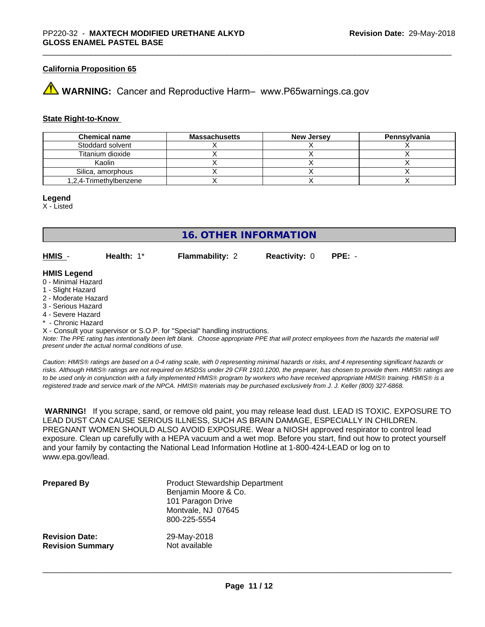## **California Proposition 65**

# **WARNING:** Cancer and Reproductive Harm– www.P65warnings.ca.gov

#### **State Right-to-Know**

| <b>Chemical name</b>   | <b>Massachusetts</b> | <b>New Jersey</b> | <b>Pennsylvania</b> |
|------------------------|----------------------|-------------------|---------------------|
| Stoddard solvent       |                      |                   |                     |
| Titanium dioxide       |                      |                   |                     |
| Kaolin                 |                      |                   |                     |
| Silica, amorphous      |                      |                   |                     |
| 1,2,4-Trimethylbenzene |                      |                   |                     |

#### **Legend**

X - Listed

**16. OTHER INFORMATION**

**HMIS** - **Health:** 1\* **Flammability:** 2 **Reactivity:** 0 **PPE:** -

#### **HMIS Legend**

- 0 Minimal Hazard
- 1 Slight Hazard
- 2 Moderate Hazard
- 3 Serious Hazard
- 4 Severe Hazard
- Chronic Hazard

X - Consult your supervisor or S.O.P. for "Special" handling instructions.

*Note: The PPE rating has intentionally been left blank. Choose appropriate PPE that will protect employees from the hazards the material will present under the actual normal conditions of use.*

*Caution: HMISÒ ratings are based on a 0-4 rating scale, with 0 representing minimal hazards or risks, and 4 representing significant hazards or risks. Although HMISÒ ratings are not required on MSDSs under 29 CFR 1910.1200, the preparer, has chosen to provide them. HMISÒ ratings are to be used only in conjunction with a fully implemented HMISÒ program by workers who have received appropriate HMISÒ training. HMISÒ is a registered trade and service mark of the NPCA. HMISÒ materials may be purchased exclusively from J. J. Keller (800) 327-6868.*

 **WARNING!** If you scrape, sand, or remove old paint, you may release lead dust. LEAD IS TOXIC. EXPOSURE TO LEAD DUST CAN CAUSE SERIOUS ILLNESS, SUCH AS BRAIN DAMAGE, ESPECIALLY IN CHILDREN. PREGNANT WOMEN SHOULD ALSO AVOID EXPOSURE.Wear a NIOSH approved respirator to control lead exposure. Clean up carefully with a HEPA vacuum and a wet mop. Before you start, find out how to protect yourself and your family by contacting the National Lead Information Hotline at 1-800-424-LEAD or log on to www.epa.gov/lead.

| <b>Prepared By</b>      | <b>Product Stewardship Department</b><br>Benjamin Moore & Co.<br>101 Paragon Drive<br>Montvale, NJ 07645<br>800-225-5554 |
|-------------------------|--------------------------------------------------------------------------------------------------------------------------|
| <b>Revision Date:</b>   | 29-May-2018                                                                                                              |
| <b>Revision Summary</b> | Not available                                                                                                            |